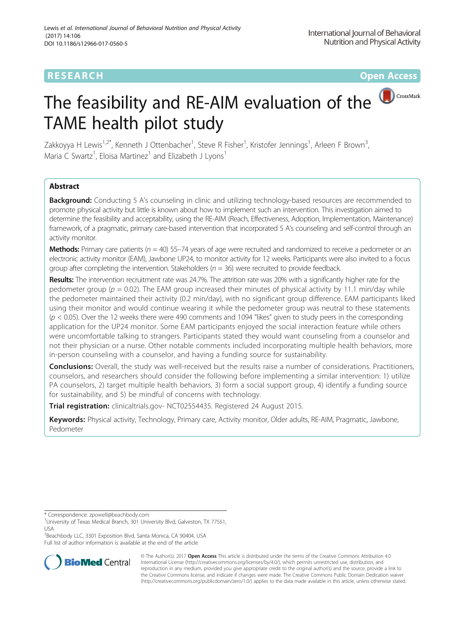# **RESEARCH CHE Open Access**



Zakkoyya H Lewis<sup>1,2\*</sup>, Kenneth J Ottenbacher<sup>1</sup>, Steve R Fisher<sup>1</sup>, Kristofer Jennings<sup>1</sup>, Arleen F Brown<sup>3</sup> , Maria C Swartz<sup>1</sup>, Eloisa Martinez<sup>1</sup> and Elizabeth J Lyons<sup>1</sup>

# Abstract

**Background:** Conducting 5 A's counseling in clinic and utilizing technology-based resources are recommended to promote physical activity but little is known about how to implement such an intervention. This investigation aimed to determine the feasibility and acceptability, using the RE-AIM (Reach, Effectiveness, Adoption, Implementation, Maintenance) framework, of a pragmatic, primary care-based intervention that incorporated 5 A's counseling and self-control through an activity monitor.

**Methods:** Primary care patients ( $n = 40$ ) 55–74 years of age were recruited and randomized to receive a pedometer or an electronic activity monitor (EAM), Jawbone UP24, to monitor activity for 12 weeks. Participants were also invited to a focus group after completing the intervention. Stakeholders ( $n = 36$ ) were recruited to provide feedback.

Results: The intervention recruitment rate was 24.7%. The attrition rate was 20% with a significantly higher rate for the pedometer group ( $p = 0.02$ ). The EAM group increased their minutes of physical activity by 11.1 min/day while the pedometer maintained their activity (0.2 min/day), with no significant group difference. EAM participants liked using their monitor and would continue wearing it while the pedometer group was neutral to these statements  $(p < 0.05)$ . Over the 12 weeks there were 490 comments and 1094 "likes" given to study peers in the corresponding application for the UP24 monitor. Some EAM participants enjoyed the social interaction feature while others were uncomfortable talking to strangers. Participants stated they would want counseling from a counselor and not their physician or a nurse. Other notable comments included incorporating multiple health behaviors, more in-person counseling with a counselor, and having a funding source for sustainability.

**Conclusions:** Overall, the study was well-received but the results raise a number of considerations. Practitioners, counselors, and researchers should consider the following before implementing a similar intervention: 1) utilize PA counselors, 2) target multiple health behaviors, 3) form a social support group, 4) identify a funding source for sustainability, and 5) be mindful of concerns with technology.

**Trial registration:** clinicaltrials.gov- [NCT02554435.](https://clinicaltrials.gov/ct2/show/NCT02554435?term=TAME+health&rank=1) Registered 24 August 2015.

Keywords: Physical activity, Technology, Primary care, Activity monitor, Older adults, RE-AIM, Pragmatic, Jawbone, Pedometer

\* Correspondence: [zpowell@beachbody.com](mailto:zpowell@beachbody.com) <sup>1</sup>

<sup>2</sup> Beachbody LLC, 3301 Exposition Blvd, Santa Monica, CA 90404, USA Full list of author information is available at the end of the article



© The Author(s). 2017 **Open Access** This article is distributed under the terms of the Creative Commons Attribution 4.0 International License [\(http://creativecommons.org/licenses/by/4.0/](http://creativecommons.org/licenses/by/4.0/)), which permits unrestricted use, distribution, and reproduction in any medium, provided you give appropriate credit to the original author(s) and the source, provide a link to the Creative Commons license, and indicate if changes were made. The Creative Commons Public Domain Dedication waiver [\(http://creativecommons.org/publicdomain/zero/1.0/](http://creativecommons.org/publicdomain/zero/1.0/)) applies to the data made available in this article, unless otherwise stated.

<sup>&</sup>lt;sup>1</sup>University of Texas Medical Branch, 301 University Blvd, Galveston, TX 77551, USA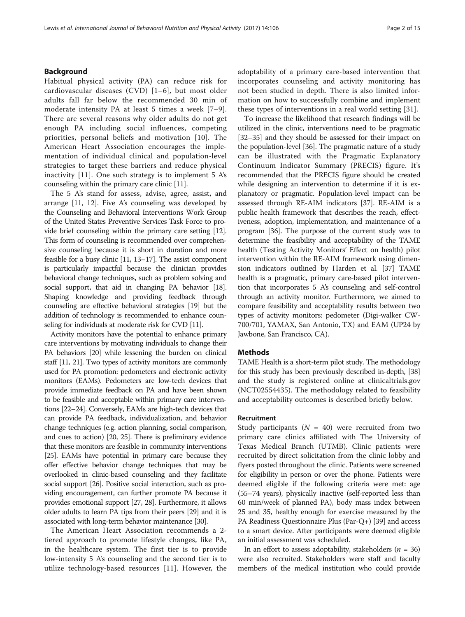## Background

Habitual physical activity (PA) can reduce risk for cardiovascular diseases (CVD) [\[1](#page-12-0)–[6\]](#page-12-0), but most older adults fall far below the recommended 30 min of moderate intensity PA at least 5 times a week [[7](#page-12-0)–[9](#page-12-0)]. There are several reasons why older adults do not get enough PA including social influences, competing priorities, personal beliefs and motivation [[10\]](#page-12-0). The American Heart Association encourages the implementation of individual clinical and population-level strategies to target these barriers and reduce physical inactivity [\[11](#page-12-0)]. One such strategy is to implement 5 A's counseling within the primary care clinic [[11](#page-12-0)].

The 5 A's stand for assess, advise, agree, assist, and arrange [\[11, 12](#page-12-0)]. Five A's counseling was developed by the Counseling and Behavioral Interventions Work Group of the United States Preventive Services Task Force to provide brief counseling within the primary care setting [\[12](#page-12-0)]. This form of counseling is recommended over comprehensive counseling because it is short in duration and more feasible for a busy clinic [\[11](#page-12-0), [13](#page-12-0)–[17\]](#page-12-0). The assist component is particularly impactful because the clinician provides behavioral change techniques, such as problem solving and social support, that aid in changing PA behavior [\[18](#page-12-0)]. Shaping knowledge and providing feedback through counseling are effective behavioral strategies [[19](#page-12-0)] but the addition of technology is recommended to enhance counseling for individuals at moderate risk for CVD [\[11\]](#page-12-0).

Activity monitors have the potential to enhance primary care interventions by motivating individuals to change their PA behaviors [\[20\]](#page-12-0) while lessening the burden on clinical staff [[11](#page-12-0), [21](#page-12-0)]. Two types of activity monitors are commonly used for PA promotion: pedometers and electronic activity monitors (EAMs). Pedometers are low-tech devices that provide immediate feedback on PA and have been shown to be feasible and acceptable within primary care interventions [[22](#page-12-0)–[24](#page-12-0)]. Conversely, EAMs are high-tech devices that can provide PA feedback, individualization, and behavior change techniques (e.g. action planning, social comparison, and cues to action) [[20](#page-12-0), [25\]](#page-13-0). There is preliminary evidence that these monitors are feasible in community interventions [[25](#page-13-0)]. EAMs have potential in primary care because they offer effective behavior change techniques that may be overlooked in clinic-based counseling and they facilitate social support [\[26](#page-13-0)]. Positive social interaction, such as providing encouragement, can further promote PA because it provides emotional support [\[27, 28\]](#page-13-0). Furthermore, it allows older adults to learn PA tips from their peers [[29\]](#page-13-0) and it is associated with long-term behavior maintenance [\[30\]](#page-13-0).

The American Heart Association recommends a 2 tiered approach to promote lifestyle changes, like PA, in the healthcare system. The first tier is to provide low-intensity 5 A's counseling and the second tier is to utilize technology-based resources [[11\]](#page-12-0). However, the adoptability of a primary care-based intervention that incorporates counseling and activity monitoring has not been studied in depth. There is also limited information on how to successfully combine and implement these types of interventions in a real world setting [\[31](#page-13-0)].

To increase the likelihood that research findings will be utilized in the clinic, interventions need to be pragmatic [[32](#page-13-0)–[35\]](#page-13-0) and they should be assessed for their impact on the population-level [\[36\]](#page-13-0). The pragmatic nature of a study can be illustrated with the Pragmatic Explanatory Continuum Indicator Summary (PRECIS) figure. It's recommended that the PRECIS figure should be created while designing an intervention to determine if it is explanatory or pragmatic. Population-level impact can be assessed through RE-AIM indicators [\[37\]](#page-13-0). RE-AIM is a public health framework that describes the reach, effectiveness, adoption, implementation, and maintenance of a program [[36](#page-13-0)]. The purpose of the current study was to determine the feasibility and acceptability of the TAME health (Testing Activity Monitors' Effect on health) pilot intervention within the RE-AIM framework using dimension indicators outlined by Harden et al. [[37](#page-13-0)] TAME health is a pragmatic, primary care-based pilot intervention that incorporates 5 A's counseling and self-control through an activity monitor. Furthermore, we aimed to compare feasibility and acceptability results between two types of activity monitors: pedometer (Digi-walker CW-700/701, YAMAX, San Antonio, TX) and EAM (UP24 by Jawbone, San Francisco, CA).

## Methods

TAME Health is a short-term pilot study. The methodology for this study has been previously described in-depth, [\[38](#page-13-0)] and the study is registered online at [clinicaltrials.gov](http://clinicaltrials.gov) (NCT02554435). The methodology related to feasibility and acceptability outcomes is described briefly below.

## Recruitment

Study participants ( $N = 40$ ) were recruited from two primary care clinics affiliated with The University of Texas Medical Branch (UTMB). Clinic patients were recruited by direct solicitation from the clinic lobby and flyers posted throughout the clinic. Patients were screened for eligibility in person or over the phone. Patients were deemed eligible if the following criteria were met: age (55–74 years), physically inactive (self-reported less than 60 min/week of planned PA), body mass index between 25 and 35, healthy enough for exercise measured by the PA Readiness Questionnaire Plus (Par-Q+) [\[39\]](#page-13-0) and access to a smart device. After participants were deemed eligible an initial assessment was scheduled.

In an effort to assess adoptability, stakeholders ( $n = 36$ ) were also recruited. Stakeholders were staff and faculty members of the medical institution who could provide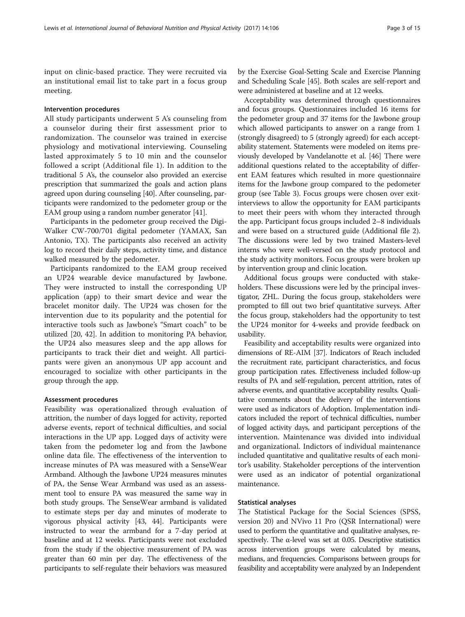input on clinic-based practice. They were recruited via an institutional email list to take part in a focus group meeting.

## Intervention procedures

All study participants underwent 5 A's counseling from a counselor during their first assessment prior to randomization. The counselor was trained in exercise physiology and motivational interviewing. Counseling lasted approximately 5 to 10 min and the counselor followed a script (Additional file [1\)](#page-12-0). In addition to the traditional 5 A's, the counselor also provided an exercise prescription that summarized the goals and action plans agreed upon during counseling [\[40\]](#page-13-0). After counseling, participants were randomized to the pedometer group or the EAM group using a random number generator [\[41\]](#page-13-0).

Participants in the pedometer group received the Digi-Walker CW-700/701 digital pedometer (YAMAX, San Antonio, TX). The participants also received an activity log to record their daily steps, activity time, and distance walked measured by the pedometer.

Participants randomized to the EAM group received an UP24 wearable device manufactured by Jawbone. They were instructed to install the corresponding UP application (app) to their smart device and wear the bracelet monitor daily. The UP24 was chosen for the intervention due to its popularity and the potential for interactive tools such as Jawbone's "Smart coach" to be utilized [\[20](#page-12-0), [42\]](#page-13-0). In addition to monitoring PA behavior, the UP24 also measures sleep and the app allows for participants to track their diet and weight. All participants were given an anonymous UP app account and encouraged to socialize with other participants in the group through the app.

## Assessment procedures

Feasibility was operationalized through evaluation of attrition, the number of days logged for activity, reported adverse events, report of technical difficulties, and social interactions in the UP app. Logged days of activity were taken from the pedometer log and from the Jawbone online data file. The effectiveness of the intervention to increase minutes of PA was measured with a SenseWear Armband. Although the Jawbone UP24 measures minutes of PA, the Sense Wear Armband was used as an assessment tool to ensure PA was measured the same way in both study groups. The SenseWear armband is validated to estimate steps per day and minutes of moderate to vigorous physical activity [\[43, 44\]](#page-13-0). Participants were instructed to wear the armband for a 7-day period at baseline and at 12 weeks. Participants were not excluded from the study if the objective measurement of PA was greater than 60 min per day. The effectiveness of the participants to self-regulate their behaviors was measured

by the Exercise Goal-Setting Scale and Exercise Planning and Scheduling Scale [\[45\]](#page-13-0). Both scales are self-report and were administered at baseline and at 12 weeks.

Acceptability was determined through questionnaires and focus groups. Questionnaires included 16 items for the pedometer group and 37 items for the Jawbone group which allowed participants to answer on a range from 1 (strongly disagreed) to 5 (strongly agreed) for each acceptability statement. Statements were modeled on items previously developed by Vandelanotte et al. [[46](#page-13-0)] There were additional questions related to the acceptability of different EAM features which resulted in more questionnaire items for the Jawbone group compared to the pedometer group (see Table [3](#page-5-0)). Focus groups were chosen over exitinterviews to allow the opportunity for EAM participants to meet their peers with whom they interacted through the app. Participant focus groups included 2–8 individuals and were based on a structured guide (Additional file [2](#page-12-0)). The discussions were led by two trained Masters-level interns who were well-versed on the study protocol and the study activity monitors. Focus groups were broken up by intervention group and clinic location.

Additional focus groups were conducted with stakeholders. These discussions were led by the principal investigator, ZHL. During the focus group, stakeholders were prompted to fill out two brief quantitative surveys. After the focus group, stakeholders had the opportunity to test the UP24 monitor for 4-weeks and provide feedback on usability.

Feasibility and acceptability results were organized into dimensions of RE-AIM [[37](#page-13-0)]. Indicators of Reach included the recruitment rate, participant characteristics, and focus group participation rates. Effectiveness included follow-up results of PA and self-regulation, percent attrition, rates of adverse events, and quantitative acceptability results. Qualitative comments about the delivery of the interventions were used as indicators of Adoption. Implementation indicators included the report of technical difficulties, number of logged activity days, and participant perceptions of the intervention. Maintenance was divided into individual and organizational. Indictors of individual maintenance included quantitative and qualitative results of each monitor's usability. Stakeholder perceptions of the intervention were used as an indicator of potential organizational maintenance.

## Statistical analyses

The Statistical Package for the Social Sciences (SPSS, version 20) and NVivo 11 Pro (QSR International) were used to perform the quantitative and qualitative analyses, respectively. The  $\alpha$ -level was set at 0.05. Descriptive statistics across intervention groups were calculated by means, medians, and frequencies. Comparisons between groups for feasibility and acceptability were analyzed by an Independent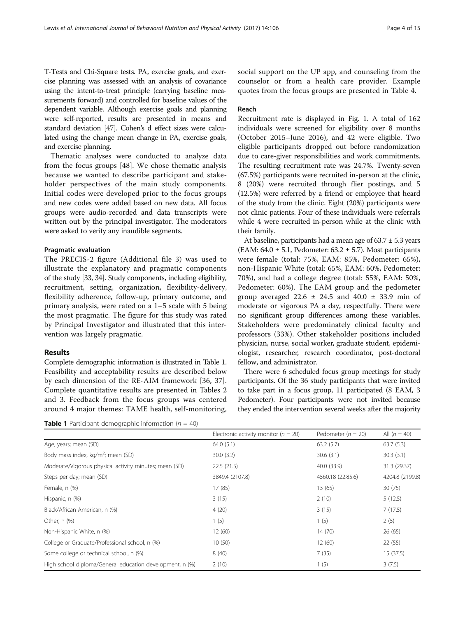T-Tests and Chi-Square tests. PA, exercise goals, and exercise planning was assessed with an analysis of covariance using the intent-to-treat principle (carrying baseline measurements forward) and controlled for baseline values of the dependent variable. Although exercise goals and planning were self-reported, results are presented in means and standard deviation [\[47\]](#page-13-0). Cohen's d effect sizes were calculated using the change mean change in PA, exercise goals, and exercise planning.

Thematic analyses were conducted to analyze data from the focus groups [\[48](#page-13-0)]. We chose thematic analysis because we wanted to describe participant and stakeholder perspectives of the main study components. Initial codes were developed prior to the focus groups and new codes were added based on new data. All focus groups were audio-recorded and data transcripts were written out by the principal investigator. The moderators were asked to verify any inaudible segments.

## Pragmatic evaluation

The PRECIS-2 figure (Additional file [3\)](#page-12-0) was used to illustrate the explanatory and pragmatic components of the study [\[33](#page-13-0), [34](#page-13-0)]. Study components, including eligibility, recruitment, setting, organization, flexibility-delivery, flexibility adherence, follow-up, primary outcome, and primary analysis, were rated on a 1–5 scale with 5 being the most pragmatic. The figure for this study was rated by Principal Investigator and illustrated that this intervention was largely pragmatic.

## Results

Complete demographic information is illustrated in Table 1. Feasibility and acceptability results are described below by each dimension of the RE-AIM framework [\[36](#page-13-0), [37](#page-13-0)]. Complete quantitative results are presented in Tables [2](#page-4-0) and [3.](#page-5-0) Feedback from the focus groups was centered around 4 major themes: TAME health, self-monitoring,

social support on the UP app, and counseling from the counselor or from a health care provider. Example quotes from the focus groups are presented in Table [4](#page-6-0).

## Reach

Recruitment rate is displayed in Fig. [1](#page-9-0). A total of 162 individuals were screened for eligibility over 8 months (October 2015–June 2016), and 42 were eligible. Two eligible participants dropped out before randomization due to care-giver responsibilities and work commitments. The resulting recruitment rate was 24.7%. Twenty-seven (67.5%) participants were recruited in-person at the clinic, 8 (20%) were recruited through flier postings, and 5 (12.5%) were referred by a friend or employee that heard of the study from the clinic. Eight (20%) participants were not clinic patients. Four of these individuals were referrals while 4 were recruited in-person while at the clinic with their family.

At baseline, participants had a mean age of  $63.7 \pm 5.3$  years (EAM:  $64.0 \pm 5.1$ , Pedometer:  $63.2 \pm 5.7$ ). Most participants were female (total: 75%, EAM: 85%, Pedometer: 65%), non-Hispanic White (total: 65%, EAM: 60%, Pedometer: 70%), and had a college degree (total: 55%, EAM: 50%, Pedometer: 60%). The EAM group and the pedometer group averaged  $22.6 \pm 24.5$  and  $40.0 \pm 33.9$  min of moderate or vigorous PA a day, respectfully. There were no significant group differences among these variables. Stakeholders were predominately clinical faculty and professors (33%). Other stakeholder positions included physician, nurse, social worker, graduate student, epidemiologist, researcher, research coordinator, post-doctoral fellow, and administrator.

There were 6 scheduled focus group meetings for study participants. Of the 36 study participants that were invited to take part in a focus group, 11 participated (8 EAM, 3 Pedometer). Four participants were not invited because they ended the intervention several weeks after the majority

**Table 1** Participant demographic information ( $n = 40$ )

|                                                          | Electronic activity monitor ( $n = 20$ ) | Pedometer ( $n = 20$ ) | All $(n = 40)$  |
|----------------------------------------------------------|------------------------------------------|------------------------|-----------------|
| Age, years; mean (SD)                                    | 64.0(5.1)                                | 63.2(5.7)              | 63.7(5.3)       |
| Body mass index, kg/m <sup>2</sup> ; mean (SD)           | 30.0(3.2)                                | 30.6(3.1)              | 30.3(3.1)       |
| Moderate/Vigorous physical activity minutes; mean (SD)   | 22.5(21.5)                               | 40.0 (33.9)            | 31.3 (29.37)    |
| Steps per day; mean (SD)                                 | 3849.4 (2107.8)                          | 4560.18 (22.85.6)      | 4204.8 (2199.8) |
| Female, n (%)                                            | 17(85)                                   | 13(65)                 | 30(75)          |
| Hispanic, n (%)                                          | 3(15)                                    | 2(10)                  | 5(12.5)         |
| Black/African American, n (%)                            | 4(20)                                    | 3(15)                  | 7(17.5)         |
| Other, n (%)                                             | 1(5)                                     | 1(5)                   | 2(5)            |
| Non-Hispanic White, n (%)                                | 12(60)                                   | 14(70)                 | 26(65)          |
| College or Graduate/Professional school, n (%)           | 10(50)                                   | 12(60)                 | 22(55)          |
| Some college or technical school, n (%)                  | 8(40)                                    | 7(35)                  | 15 (37.5)       |
| High school diploma/General education development, n (%) | 2(10)                                    | 1(5)                   | 3(7.5)          |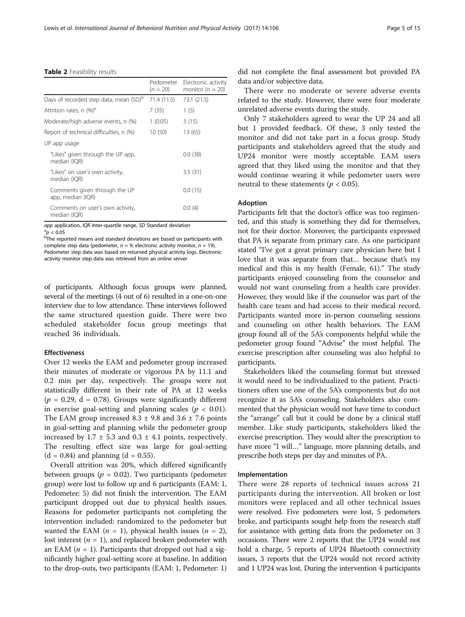<span id="page-4-0"></span>Table 2 Feasibility results

|                                                    | Pedometer<br>$(n = 20)$ | Electronic activity<br>monitor ( $n = 20$ ) |
|----------------------------------------------------|-------------------------|---------------------------------------------|
| Days of recorded step data, mean (SD) <sup>b</sup> | 71.4 (11.5)             | 73.1 (21.5)                                 |
| Attrition rates, n $(\%)^d$                        | 7(35)                   | 1(5)                                        |
| Moderate/high adverse events, n (%)                | 1(0.05)                 | 3(15)                                       |
| Report of technical difficulties, n (%)            | 10(50)                  | 13 (65)                                     |
| UP app usage                                       |                         |                                             |
| "Likes" given through the UP app,<br>median (IQR)  |                         | 0.0(38)                                     |
| "Likes" on user's own activity,<br>median (IQR)    |                         | 3.5(31)                                     |
| Comments given through the UP<br>app, median (IQR) |                         | 0.0(15)                                     |
| Comments on user's own activity,<br>median (IQR)   |                         | 0.0(4)                                      |

app application, IQR Inter-quartile range, SD Standard deviation  $_{\text{p}}$  < 0.05

<sup>b</sup>The reported means and standard deviations are based on participants with complete step data (pedometer,  $n = 9$ ; electronic activity monitor,  $n = 19$ ). Pedometer step data was based on returned physical activity logs. Electronic activity monitor step data was retrieved from an online server

of participants. Although focus groups were planned, several of the meetings (4 out of 6) resulted in a one-on-one interview due to low attendance. These interviews followed the same structured question guide. There were two scheduled stakeholder focus group meetings that reached 36 individuals.

## Effectiveness

Over 12 weeks the EAM and pedometer group increased their minutes of moderate or vigorous PA by 11.1 and 0.2 min per day, respectively. The groups were not statistically different in their rate of PA at 12 weeks ( $p = 0.29$ , d = 0.78). Groups were significantly different in exercise goal-setting and planning scales ( $p < 0.01$ ). The EAM group increased  $8.3 \pm 9.8$  and  $3.6 \pm 7.6$  points in goal-setting and planning while the pedometer group increased by  $1.7 \pm 5.3$  and  $0.3 \pm 4.1$  points, respectively. The resulting effect size was large for goal-setting  $(d = 0.84)$  and planning  $(d = 0.55)$ .

Overall attrition was 20%, which differed significantly between groups ( $p = 0.02$ ). Two participants (pedometer group) were lost to follow up and 6 participants (EAM: 1, Pedometer: 5) did not finish the intervention. The EAM participant dropped out due to physical health issues. Reasons for pedometer participants not completing the intervention included: randomized to the pedometer but wanted the EAM ( $n = 1$ ), physical health issues ( $n = 2$ ), lost interest ( $n = 1$ ), and replaced broken pedometer with an EAM ( $n = 1$ ). Participants that dropped out had a significantly higher goal-setting score at baseline. In addition to the drop-outs, two participants (EAM: 1, Pedometer: 1) did not complete the final assessment but provided PA data and/or subjective data.

There were no moderate or severe adverse events related to the study. However, there were four moderate unrelated adverse events during the study.

Only 7 stakeholders agreed to wear the UP 24 and all but 1 provided feedback. Of these, 3 only tested the monitor and did not take part in a focus group. Study participants and stakeholders agreed that the study and UP24 monitor were mostly acceptable. EAM users agreed that they liked using the monitor and that they would continue wearing it while pedometer users were neutral to these statements ( $p < 0.05$ ).

## Adoption

Participants felt that the doctor's office was too regimented, and this study is something they did for themselves, not for their doctor. Moreover, the participants expressed that PA is separate from primary care. As one participant stated "I've got a great primary care physician here but I love that it was separate from that… because that's my medical and this is my health (Female, 61)." The study participants enjoyed counseling from the counselor and would not want counseling from a health care provider. However, they would like if the counselor was part of the health care team and had access to their medical record. Participants wanted more in-person counseling sessions and counseling on other health behaviors. The EAM group found all of the 5A's components helpful while the pedometer group found "Advise" the most helpful. The exercise prescription after counseling was also helpful to participants.

Stakeholders liked the counseling format but stressed it would need to be individualized to the patient. Practitioners often use one of the 5A's components but do not recognize it as 5A's counseling. Stakeholders also commented that the physician would not have time to conduct the "arrange" call but it could be done by a clinical staff member. Like study participants, stakeholders liked the exercise prescription. They would alter the prescription to have more "I will…" language, more planning details, and prescribe both steps per day and minutes of PA.

### Implementation

There were 28 reports of technical issues across 21 participants during the intervention. All broken or lost monitors were replaced and all other technical issues were resolved. Five pedometers were lost, 5 pedometers broke, and participants sought help from the research staff for assistance with getting data from the pedometer on 3 occasions. There were 2 reports that the UP24 would not hold a charge, 5 reports of UP24 Bluetooth connectivity issues, 3 reports that the UP24 would not record activity and 1 UP24 was lost. During the intervention 4 participants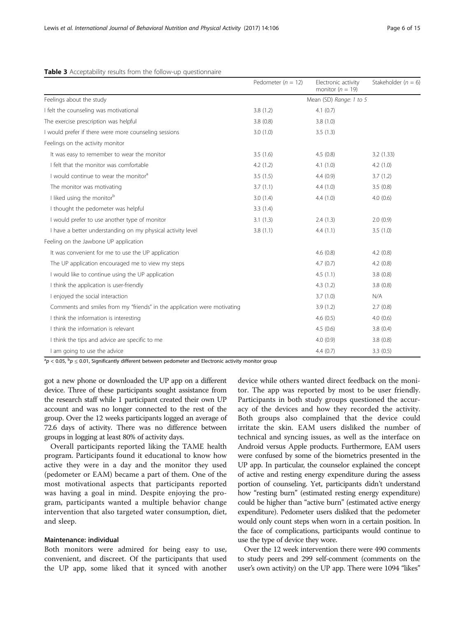# Pedometer  $(n = 12)$  Electronic activity monitor ( $n = 19$ ) Stakeholder ( $n = 6$ ) Feelings about the study and the study and the study and the study and the study and the study and the study and the study and the study and the study and the study and the study and the study and the study and the study a I felt the counseling was motivational 3.8 (1.2) 4.1 (0.7) The exercise prescription was helpful 3.8 (0.8) 3.8 (0.8) 3.8 (1.0) I would prefer if there were more counseling sessions 3.0 (1.0) 3.5 (1.3) Feelings on the activity monitor It was easy to remember to wear the monitor 3.5 (1.6) 4.5 (0.8) 3.2 (1.33) I felt that the monitor was comfortable  $4.2$  (1.2)  $4.1$  (1.0)  $4.2$  (1.0)  $4.2$  (1.0) I would continue to wear the monitor<sup>a</sup> and the monitor and the monitor<sup>a</sup> and the set of the set of the set of the set of the set of the set of the set of the set of the set of the set of the set of the set of the set of The monitor was motivating the state of the state of the state of the state of the state of the state of the state of the state of the state of the state of the state of the state of the state of the state of the state of I liked using the monitor<sup>b</sup>  $3.0(1.4)$   $4.4(1.0)$   $4.0(0.6)$ I thought the pedometer was helpful 3.3 (1.4) I would prefer to use another type of monitor 3.1 (1.3) 2.4 (1.3) 2.0 (0.9) I have a better understanding on my physical activity level 3.8 (1.1) 4.4 (1.1) 3.5 (1.0) Feeling on the Jawbone UP application It was convenient for me to use the UP application  $4.6 \text{ } (0.8)$   $4.2 \text{ } (0.8)$   $4.2 \text{ } (0.8)$ The UP application encouraged me to view my steps  $4.7 \, (0.7)$   $4.2 \, (0.8)$ I would like to continue using the UP application 4.5 (1.1) 3.8 (0.8) I think the application is user-friendly 4.3 (1.2) 3.8 (0.8) I enjoyed the social interaction 3.7 (1.0) N/A Comments and smiles from my "friends" in the application were motivating 3.9 (1.2) 2.7 (0.8) I think the information is interesting 4.6 (0.5) 4.0 (0.6) I think the information is relevant 4.5 (0.6) 3.8 (0.4) I think the tips and advice are specific to me 4.0 (0.9) 3.8 (0.8) I am going to use the advice  $4.4 \, (0.7)$  3.3 (0.5)

#### <span id="page-5-0"></span>Table 3 Acceptability results from the follow-up questionnaire

 $^{\rm a}$ p < 0.05,  $^{\rm b}$ p  $\leq$  0.01, Significantly different between pedometer and Electronic activity monitor group

got a new phone or downloaded the UP app on a different device. Three of these participants sought assistance from the research staff while 1 participant created their own UP account and was no longer connected to the rest of the group. Over the 12 weeks participants logged an average of 72.6 days of activity. There was no difference between groups in logging at least 80% of activity days.

Overall participants reported liking the TAME health program. Participants found it educational to know how active they were in a day and the monitor they used (pedometer or EAM) became a part of them. One of the most motivational aspects that participants reported was having a goal in mind. Despite enjoying the program, participants wanted a multiple behavior change intervention that also targeted water consumption, diet, and sleep.

## Maintenance: individual

Both monitors were admired for being easy to use, convenient, and discreet. Of the participants that used the UP app, some liked that it synced with another device while others wanted direct feedback on the monitor. The app was reported by most to be user friendly. Participants in both study groups questioned the accuracy of the devices and how they recorded the activity. Both groups also complained that the device could irritate the skin. EAM users disliked the number of technical and syncing issues, as well as the interface on Android versus Apple products. Furthermore, EAM users were confused by some of the biometrics presented in the UP app. In particular, the counselor explained the concept of active and resting energy expenditure during the assess portion of counseling. Yet, participants didn't understand how "resting burn" (estimated resting energy expenditure) could be higher than "active burn" (estimated active energy expenditure). Pedometer users disliked that the pedometer would only count steps when worn in a certain position. In the face of complications, participants would continue to use the type of device they wore.

Over the 12 week intervention there were 490 comments to study peers and 299 self-comment (comments on the user's own activity) on the UP app. There were 1094 "likes"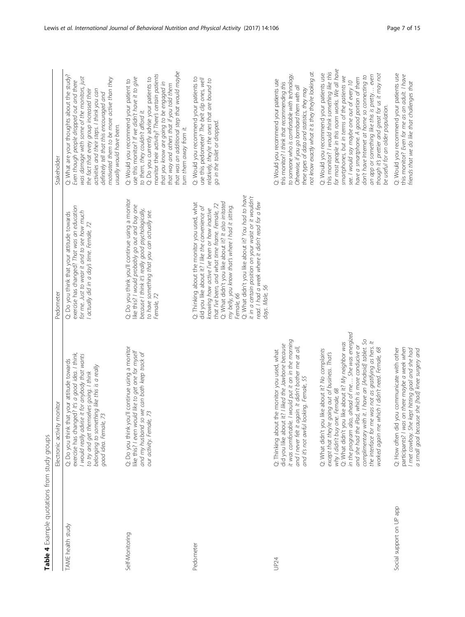<span id="page-6-0"></span>

| Table 4 Example quotations from study groups |                                                                                                                                                                                                                                                                                                                                                                                                                                                                                        |                                                                                                                                                                                                                                                                                                                                                                                                                                                                                                                   |                                                                                                                                                                                                                                                                                                                                                                                                                                                                                     |
|----------------------------------------------|----------------------------------------------------------------------------------------------------------------------------------------------------------------------------------------------------------------------------------------------------------------------------------------------------------------------------------------------------------------------------------------------------------------------------------------------------------------------------------------|-------------------------------------------------------------------------------------------------------------------------------------------------------------------------------------------------------------------------------------------------------------------------------------------------------------------------------------------------------------------------------------------------------------------------------------------------------------------------------------------------------------------|-------------------------------------------------------------------------------------------------------------------------------------------------------------------------------------------------------------------------------------------------------------------------------------------------------------------------------------------------------------------------------------------------------------------------------------------------------------------------------------|
|                                              | Electronic activity monitor                                                                                                                                                                                                                                                                                                                                                                                                                                                            | Pedometer                                                                                                                                                                                                                                                                                                                                                                                                                                                                                                         | Stakeholder                                                                                                                                                                                                                                                                                                                                                                                                                                                                         |
| TAME health study                            | exercise has changed? It's a good idea. I think,<br>I would really advise it for anybody that wants<br>Q: Do you think that your attitude towards<br>belonging to something like this is a really<br>to try and get themselves going. I think<br>good idea. Female, 73                                                                                                                                                                                                                 | exercise has changed? That was an education<br>for me. Just to wear it and to see how much<br>Q: Do you think that your attitude towards<br>I actually did in a day's time. Female, 72                                                                                                                                                                                                                                                                                                                            | Q: What are your thoughts about the study?<br>was damage with some of the monitors, just<br>motivated them to be more active than they<br>Even though people dropped out and there<br>activities and their steps. I think you can<br>the fact that every group increased their<br>definitely tell that this encouraged and<br>usually would have been.                                                                                                                              |
| Self-Monitoring                              | Q: Do you think you'll continue using a monitor<br>like this? I even would like to get one for myself<br>and my husband so we can both keep track of<br>our activity. Female,                                                                                                                                                                                                                                                                                                          | Q: Do you think you'll continue using a monitor<br>like this? I would probably go out and buy one<br>because I think it's really good psychologically,<br>to have something that you can actually see.<br>Female, 72                                                                                                                                                                                                                                                                                              | that was an additional step that would maybe<br>monitor their activity? There's certain patients<br>use this monitor? If we didn't have it to give<br>Q: Do you currently advise your patients to<br>Q: Would you recommend your patient to<br>that you know are going to be engaged in<br>that way and others that if you told them<br>to them, they couldn't afford it.<br>turn them away from it.                                                                                |
| Pedometer                                    |                                                                                                                                                                                                                                                                                                                                                                                                                                                                                        | Q: What didn't you like about it? You had to have<br>it in a certain position on your waist or it wouldn't<br>read. I had a week where it didn't read for a few<br>Q: What didn't you like about it? It also initated<br>Q: Thinking about the monitor you used, what<br>that I've been, and what time frame. Female, 72<br>my belly, you know that's where I had it sitting.<br>did you like about it? I like the convenience of<br>knowing how active I've been or how inactive<br>days. Male, 56<br>Female, 66 | Q: Would you recommend your patients to<br>use this pedometer? The belt clip ones, well<br>relatively, they're the ones that are bound to<br>go in the toilet or dropped.                                                                                                                                                                                                                                                                                                           |
| <b>UP24</b>                                  | it was comfortable. I would put it on in the morning<br>did you like about it? I liked the Jawbone because<br>and I never felt it again. It didn't bother me at all,<br>Q: Thinking about the monitor you used, what<br>and it's not awful looking. Female, 55                                                                                                                                                                                                                         |                                                                                                                                                                                                                                                                                                                                                                                                                                                                                                                   | not know exactly what it is they they're looking at.<br>to someone who is comfortable with technology.<br>Q: Would you recommend your patients use<br>this monitor? I think that recommending this<br>Otherwise, if you go bombard them with all<br>these types of data and statistics, they may                                                                                                                                                                                    |
|                                              | in the program also, ahead of me She was energized<br>it. I have an [Android] tablet. So<br>was not as gratifying as hers. It<br>Q: What didn't you like about it? My neighbor was<br>and she had the iPad, which is more conducive or<br>worked again me which I didn't need. Female, 68<br>Q: What didn't you like about it? No complaints<br>except that they're going out of business. That's<br>Female, 68<br>why I didn't buy one.<br>complimentary with<br>the interface for me |                                                                                                                                                                                                                                                                                                                                                                                                                                                                                                                   | for most people in this room works. We all have<br>this monitor? I would think something like this<br>Q: Would you recommend your patients use<br>though it's prettier and great for us it may not<br>don't have Internet at home so connecting to<br>an app or something like this is pretty even<br>smartphones, but in terms of the patients we<br>have a smartphone. A good portion of them<br>see. I would say maybe one out of every 10<br>be useful for an older population. |
| Social support on UP app                     | participants? I was on there maybe a week when<br>Q: How often did you communicate with other<br>I met cowboy. She kept hitting goal and she had<br>a small goal because she [had] knee surgery and                                                                                                                                                                                                                                                                                    |                                                                                                                                                                                                                                                                                                                                                                                                                                                                                                                   | Q: Would you recommend your patients use<br>this monitor? Even for me as an adult. I have<br>friends that we do like that challenges that                                                                                                                                                                                                                                                                                                                                           |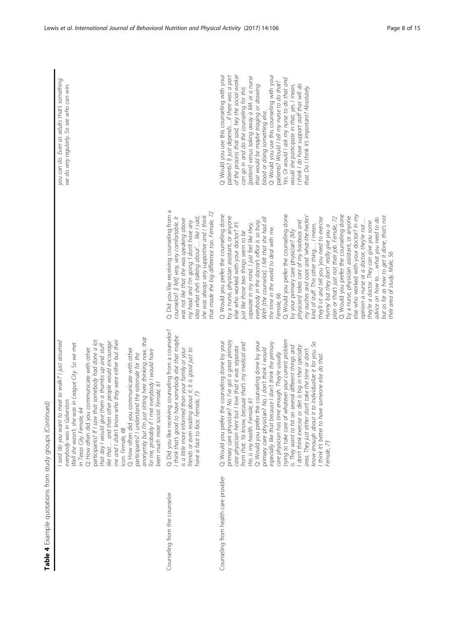Table 4 Example quotations from study groups (Continued) **Table 4** Example quotations from study groups (Continued)

|                                      | anonymity but I'm just sitting here thinking now, that<br>that somebody had done a lot<br>me and I didn't know who they were either but their<br>I said 'do you want to meet to walk?' I just assumed<br>like that and then other people would encourage<br>Well she wasn't, she was in League City. So we met<br>that day I would give them a thumbs up and stuff<br>Q: How often did you communicate with other<br>for me, probably if I met everybody I would have<br>Q: How often did you communicate with other<br>participants? I understand the rationale for the<br>been much more social. Female, 61<br>everybody was in Galveston<br>64<br>in Texas City. Female,<br>participants? If I saw<br>icon. Female, 68                                                                                                                 |                                                                                                                                                                                                                                                                                                                                                                                                                                                                                                                                                                                                                                                                                                                                                                                                                                                                                                                                                                                                                                                                                                          | you can do. Even as adults that's something<br>we do very regularly. So see who can win.                                                                                                                                                                                                                                                                                                                                                                                                                                                                                                                        |
|--------------------------------------|-------------------------------------------------------------------------------------------------------------------------------------------------------------------------------------------------------------------------------------------------------------------------------------------------------------------------------------------------------------------------------------------------------------------------------------------------------------------------------------------------------------------------------------------------------------------------------------------------------------------------------------------------------------------------------------------------------------------------------------------------------------------------------------------------------------------------------------------|----------------------------------------------------------------------------------------------------------------------------------------------------------------------------------------------------------------------------------------------------------------------------------------------------------------------------------------------------------------------------------------------------------------------------------------------------------------------------------------------------------------------------------------------------------------------------------------------------------------------------------------------------------------------------------------------------------------------------------------------------------------------------------------------------------------------------------------------------------------------------------------------------------------------------------------------------------------------------------------------------------------------------------------------------------------------------------------------------------|-----------------------------------------------------------------------------------------------------------------------------------------------------------------------------------------------------------------------------------------------------------------------------------------------------------------------------------------------------------------------------------------------------------------------------------------------------------------------------------------------------------------------------------------------------------------------------------------------------------------|
| Counseling from the counselor        | Q: Did you like receiving counseling from a counselor?<br>I think that's good to have somebody else that maybe<br>is a little more informed than your family or your<br>friends or even reading about it. It is good just to<br>Female, 73<br>have a face to face.                                                                                                                                                                                                                                                                                                                                                                                                                                                                                                                                                                        | Q: Did you like receiving counseling from a<br>that made the big difference too. Female, 72<br>she was always very supportive and I think<br>counselor? [I felt] very, very comfortable. It<br>idea what she's talking about' like I said,<br>was not like that she was speaking above<br>my head and I'm going 'I don't have any                                                                                                                                                                                                                                                                                                                                                                                                                                                                                                                                                                                                                                                                                                                                                                        |                                                                                                                                                                                                                                                                                                                                                                                                                                                                                                                                                                                                                 |
| Counseling from health care provider | trying to take care of whatever your current problem<br>primary care physician? No. I've got a great primary<br>Q: Would you prefer the counseling done by your<br>Q: Would you prefer the counseling done by your<br>because that's my medical and<br>especially like that because I don't think the primary<br>know enough about it to individualize it for you. So<br>care physician here but I love that it was separate<br>is. They want to hit on several different things and<br>I don't think exercise or diet is big in their specialty<br>primary care physician? No, I don't think I would<br>area. They just either don't take the time or don't<br>care physician has time enough. They're usually<br>I think it's better to have someone else do that.<br>this is my health. Female, 61<br>from that. Ya know,<br>emale, 73 | Q: Would you prefer the counseling done<br>Q: Would you prefer the counseling done<br>Q: Would you prefer the counseling done<br>else who worked with your doctor? In my<br>my ouches and ooze and 'what-the-heckes'<br>by a nurse, physician assistant, or anyone<br>by a nurse, physician assistant, or anyone<br>but as far as how to get it done, that's not<br>they'll sit and tell you 'you need to exercise<br>With [the counselor], I felt that she had all<br>plan or that's just not their job. Female, 72<br>advice on how to what you need to do<br>opinion a nurse or a doctor, they're not<br>physician] takes care of my booboos and<br>everybody in the doctor's office is so busy.<br>they're a doctor. They can give you some<br>else who worked with your doctor? It's<br>separate in my mind. I just feel like they,<br>kind of stuff. This other thing I mean,<br>Hunny' but they don't' really give you a<br>the time in the world to deal with me.<br>by your primary care physician? [My<br>just like those two things seem to be<br>their area of study. Male, 56<br>Female, 66 | patients? It just depends  if there was a part<br>2: Would you use this counseling with your<br>of the process that said, hey the social worker<br>Q: Would you use this counseling with your<br>patient] versus taking away a MA or a nurse<br>es. Or would I ask my nurse to do that and<br>patients? Would I tell my nurse to do that?<br>would she participate in that, yes. I mean,<br>think I do have support staff that will do<br>that would be maybe triaging or drawing<br>that. Do I think it's important? Absolutely.<br>can go in and do the counseling for this<br>blood or doing something else. |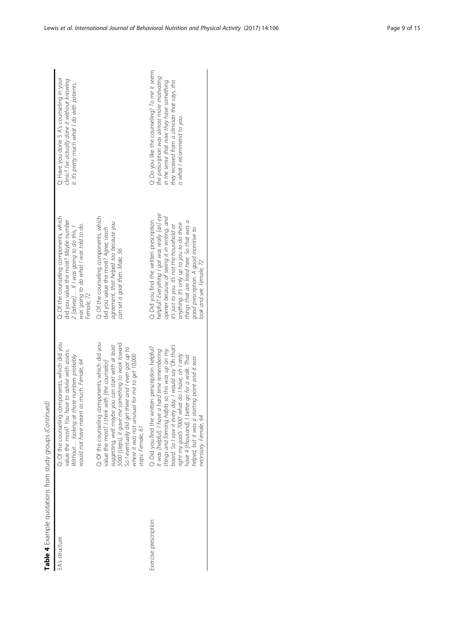| 5A's structure        | Q: Of the counseling components, which did you<br>value the most? You have to advise with assess.<br>Nithout looking at those numbers probably<br>would not have meant as much. Female, 64                                                                                                                                                                                                       | Q: Of the counseling components, which<br>did you value the most? Maybe number<br>was going to do what I was told to do.<br>2 [advise] If I was going to do this,<br>Female, 72                                                                                                                                                                          | Q: Have you done 5 A's counseling in your<br>clinic? I've actually done it without knowing<br>it. It's pretty much what I do with patients.                                                                                |
|-----------------------|--------------------------------------------------------------------------------------------------------------------------------------------------------------------------------------------------------------------------------------------------------------------------------------------------------------------------------------------------------------------------------------------------|----------------------------------------------------------------------------------------------------------------------------------------------------------------------------------------------------------------------------------------------------------------------------------------------------------------------------------------------------------|----------------------------------------------------------------------------------------------------------------------------------------------------------------------------------------------------------------------------|
|                       | Q: Of the counseling components, which did you<br>5000 [steps], it gave me something to work toward.<br>suggesting, well maybe you can start with at least<br>So I eventually did get there and I even got up to<br>where it was not unusual for me to get 10,000<br>value the most? I think with [the counselor]<br>steps. Female, 61                                                           | Q: Of the counseling components, which<br>agreement, that helped too because you<br>did you value the most? Agree, reach<br>can set a goal then. Male, 56                                                                                                                                                                                                |                                                                                                                                                                                                                            |
| Exercise prescription | things and forming habits so this was up on my<br>board. So I saw it every day. I would say "Oh that's<br>right my goal's 7000" what do I have, oh I only<br>have 4 [thousand], I better go for a walk. That<br>Q: Did you find the written prescription helpful?<br>It was [helpful]. I have a hard time remembering<br>helped, but it was a starting point and it was<br>necessary. Female, 64 | helpful? Everything I got was really [an] eye<br>opener because of seeing it in writing, and<br>Q: Did you find the written prescription<br>things that are listed here. So that was a<br>anything. It's only up to you to do these<br>it's just to you. It's not the household or<br>good prescription. A good incentive to<br>look and see. Female, 72 | Q: Do you like the counseling? To me it seems<br>the prescription was almost more motivating<br>in the sense that now they have something<br>they received from a clinician that says, this<br>is what I recommend to you. |
|                       |                                                                                                                                                                                                                                                                                                                                                                                                  |                                                                                                                                                                                                                                                                                                                                                          |                                                                                                                                                                                                                            |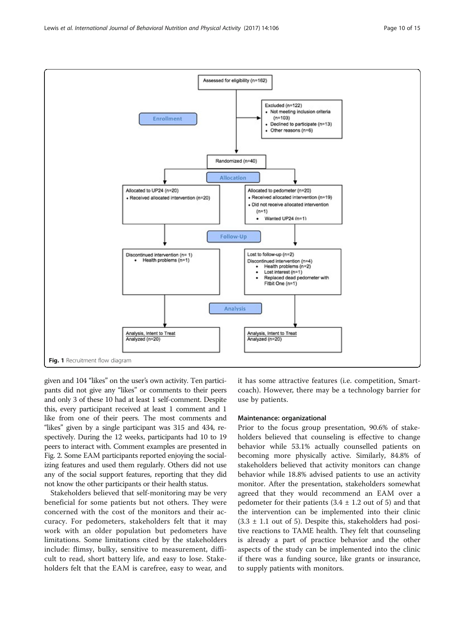<span id="page-9-0"></span>

given and 104 "likes" on the user's own activity. Ten participants did not give any "likes" or comments to their peers and only 3 of these 10 had at least 1 self-comment. Despite this, every participant received at least 1 comment and 1 like from one of their peers. The most comments and "likes" given by a single participant was 315 and 434, respectively. During the 12 weeks, participants had 10 to 19 peers to interact with. Comment examples are presented in Fig. [2.](#page-10-0) Some EAM participants reported enjoying the socializing features and used them regularly. Others did not use any of the social support features, reporting that they did not know the other participants or their health status.

Stakeholders believed that self-monitoring may be very beneficial for some patients but not others. They were concerned with the cost of the monitors and their accuracy. For pedometers, stakeholders felt that it may work with an older population but pedometers have limitations. Some limitations cited by the stakeholders include: flimsy, bulky, sensitive to measurement, difficult to read, short battery life, and easy to lose. Stakeholders felt that the EAM is carefree, easy to wear, and it has some attractive features (i.e. competition, Smartcoach). However, there may be a technology barrier for use by patients.

## Maintenance: organizational

Prior to the focus group presentation, 90.6% of stakeholders believed that counseling is effective to change behavior while 53.1% actually counselled patients on becoming more physically active. Similarly, 84.8% of stakeholders believed that activity monitors can change behavior while 18.8% advised patients to use an activity monitor. After the presentation, stakeholders somewhat agreed that they would recommend an EAM over a pedometer for their patients  $(3.4 \pm 1.2 \text{ out of } 5)$  and that the intervention can be implemented into their clinic  $(3.3 \pm 1.1)$  out of 5). Despite this, stakeholders had positive reactions to TAME health. They felt that counseling is already a part of practice behavior and the other aspects of the study can be implemented into the clinic if there was a funding source, like grants or insurance, to supply patients with monitors.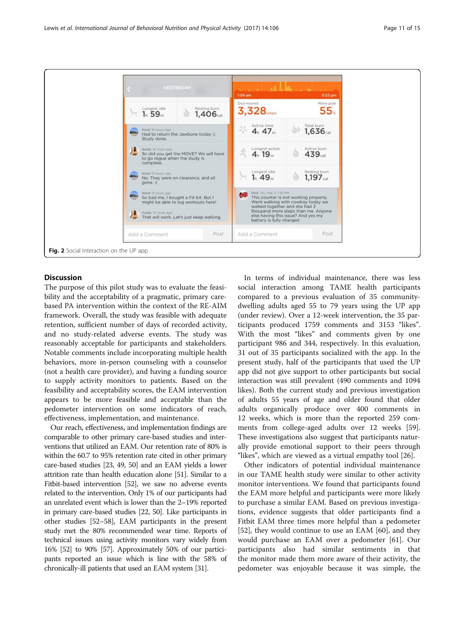<span id="page-10-0"></span>

## **Discussion**

The purpose of this pilot study was to evaluate the feasibility and the acceptability of a pragmatic, primary carebased PA intervention within the context of the RE-AIM framework. Overall, the study was feasible with adequate retention, sufficient number of days of recorded activity, and no study-related adverse events. The study was reasonably acceptable for participants and stakeholders. Notable comments include incorporating multiple health behaviors, more in-person counseling with a counselor (not a health care provider), and having a funding source to supply activity monitors to patients. Based on the feasibility and acceptability scores, the EAM intervention appears to be more feasible and acceptable than the pedometer intervention on some indicators of reach, effectiveness, implementation, and maintenance.

Our reach, effectiveness, and implementation findings are comparable to other primary care-based studies and interventions that utilized an EAM. Our retention rate of 80% is within the 60.7 to 95% retention rate cited in other primary care-based studies [\[23](#page-12-0), [49](#page-13-0), [50](#page-13-0)] and an EAM yields a lower attrition rate than health education alone [\[51\]](#page-13-0). Similar to a Fitbit-based intervention [[52](#page-13-0)], we saw no adverse events related to the intervention. Only 1% of our participants had an unrelated event which is lower than the 2–19% reported in primary care-based studies [[22,](#page-12-0) [50\]](#page-13-0). Like participants in other studies [\[52](#page-13-0)–[58\]](#page-13-0), EAM participants in the present study met the 80% recommended wear time. Reports of technical issues using activity monitors vary widely from 16% [\[52](#page-13-0)] to 90% [[57](#page-13-0)]. Approximately 50% of our participants reported an issue which is line with the 58% of chronically-ill patients that used an EAM system [[31](#page-13-0)].

In terms of individual maintenance, there was less social interaction among TAME health participants compared to a previous evaluation of 35 communitydwelling adults aged 55 to 79 years using the UP app (under review). Over a 12-week intervention, the 35 participants produced 1759 comments and 3153 "likes". With the most "likes" and comments given by one participant 986 and 344, respectively. In this evaluation, 31 out of 35 participants socialized with the app. In the present study, half of the participants that used the UP app did not give support to other participants but social interaction was still prevalent (490 comments and 1094 likes). Both the current study and previous investigation of adults 55 years of age and older found that older adults organically produce over 400 comments in 12 weeks, which is more than the reported 259 comments from college-aged adults over 12 weeks [\[59](#page-13-0)]. These investigations also suggest that participants naturally provide emotional support to their peers through "likes", which are viewed as a virtual empathy tool [[26](#page-13-0)].

Other indicators of potential individual maintenance in our TAME health study were similar to other activity monitor interventions. We found that participants found the EAM more helpful and participants were more likely to purchase a similar EAM. Based on previous investigations, evidence suggests that older participants find a Fitbit EAM three times more helpful than a pedometer [[52\]](#page-13-0), they would continue to use an EAM [\[60](#page-13-0)], and they would purchase an EAM over a pedometer [[61\]](#page-13-0). Our participants also had similar sentiments in that the monitor made them more aware of their activity, the pedometer was enjoyable because it was simple, the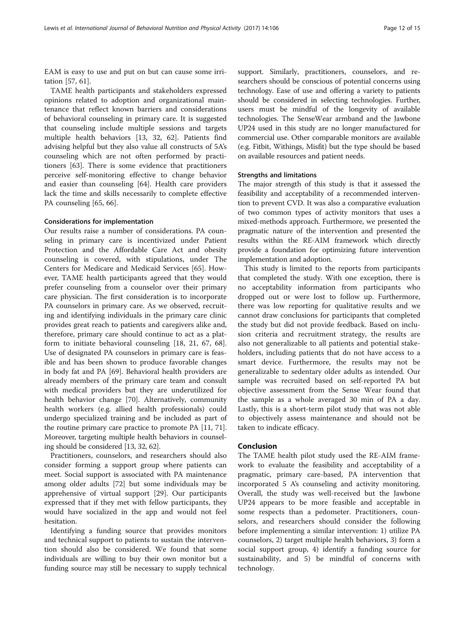EAM is easy to use and put on but can cause some irritation [[57](#page-13-0), [61](#page-13-0)].

TAME health participants and stakeholders expressed opinions related to adoption and organizational maintenance that reflect known barriers and considerations of behavioral counseling in primary care. It is suggested that counseling include multiple sessions and targets multiple health behaviors [\[13,](#page-12-0) [32](#page-13-0), [62\]](#page-13-0). Patients find advising helpful but they also value all constructs of 5A's counseling which are not often performed by practitioners [[63](#page-13-0)]. There is some evidence that practitioners perceive self-monitoring effective to change behavior and easier than counseling [[64\]](#page-13-0). Health care providers lack the time and skills necessarily to complete effective PA counseling [\[65](#page-13-0), [66\]](#page-13-0).

#### Considerations for implementation

Our results raise a number of considerations. PA counseling in primary care is incentivized under Patient Protection and the Affordable Care Act and obesity counseling is covered, with stipulations, under The Centers for Medicare and Medicaid Services [[65\]](#page-13-0). However, TAME health participants agreed that they would prefer counseling from a counselor over their primary care physician. The first consideration is to incorporate PA counselors in primary care. As we observed, recruiting and identifying individuals in the primary care clinic provides great reach to patients and caregivers alike and, therefore, primary care should continue to act as a platform to initiate behavioral counseling [\[18](#page-12-0), [21,](#page-12-0) [67, 68](#page-13-0)]. Use of designated PA counselors in primary care is feasible and has been shown to produce favorable changes in body fat and PA [[69\]](#page-13-0). Behavioral health providers are already members of the primary care team and consult with medical providers but they are underutilized for health behavior change [\[70\]](#page-14-0). Alternatively, community health workers (e.g. allied health professionals) could undergo specialized training and be included as part of the routine primary care practice to promote PA [[11](#page-12-0), [71](#page-14-0)]. Moreover, targeting multiple health behaviors in counseling should be considered [\[13,](#page-12-0) [32](#page-13-0), [62\]](#page-13-0).

Practitioners, counselors, and researchers should also consider forming a support group where patients can meet. Social support is associated with PA maintenance among older adults [[72](#page-14-0)] but some individuals may be apprehensive of virtual support [\[29](#page-13-0)]. Our participants expressed that if they met with fellow participants, they would have socialized in the app and would not feel hesitation.

Identifying a funding source that provides monitors and technical support to patients to sustain the intervention should also be considered. We found that some individuals are willing to buy their own monitor but a funding source may still be necessary to supply technical support. Similarly, practitioners, counselors, and researchers should be conscious of potential concerns using technology. Ease of use and offering a variety to patients should be considered in selecting technologies. Further, users must be mindful of the longevity of available technologies. The SenseWear armband and the Jawbone UP24 used in this study are no longer manufactured for commercial use. Other comparable monitors are available (e.g. Fitbit, Withings, Misfit) but the type should be based on available resources and patient needs.

## Strengths and limitations

The major strength of this study is that it assessed the feasibility and acceptability of a recommended intervention to prevent CVD. It was also a comparative evaluation of two common types of activity monitors that uses a mixed-methods approach. Furthermore, we presented the pragmatic nature of the intervention and presented the results within the RE-AIM framework which directly provide a foundation for optimizing future intervention implementation and adoption.

This study is limited to the reports from participants that completed the study. With one exception, there is no acceptability information from participants who dropped out or were lost to follow up. Furthermore, there was low reporting for qualitative results and we cannot draw conclusions for participants that completed the study but did not provide feedback. Based on inclusion criteria and recruitment strategy, the results are also not generalizable to all patients and potential stakeholders, including patients that do not have access to a smart device. Furthermore, the results may not be generalizable to sedentary older adults as intended. Our sample was recruited based on self-reported PA but objective assessment from the Sense Wear found that the sample as a whole averaged 30 min of PA a day. Lastly, this is a short-term pilot study that was not able to objectively assess maintenance and should not be taken to indicate efficacy.

### Conclusion

The TAME health pilot study used the RE-AIM framework to evaluate the feasibility and acceptability of a pragmatic, primary care-based, PA intervention that incorporated 5 A's counseling and activity monitoring. Overall, the study was well-received but the Jawbone UP24 appears to be more feasible and acceptable in some respects than a pedometer. Practitioners, counselors, and researchers should consider the following before implementing a similar intervention: 1) utilize PA counselors, 2) target multiple health behaviors, 3) form a social support group, 4) identify a funding source for sustainability, and 5) be mindful of concerns with technology.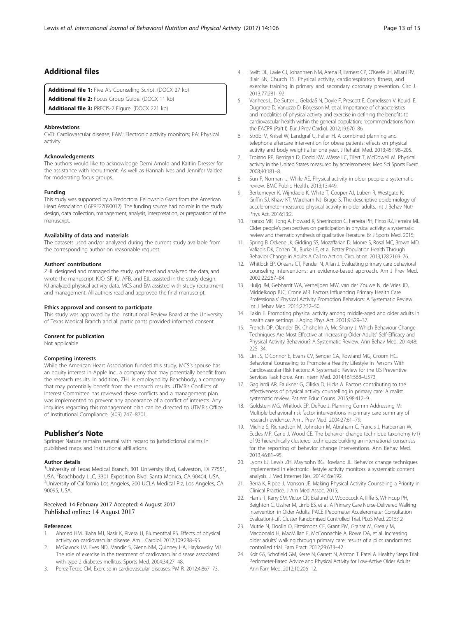# <span id="page-12-0"></span>Additional files

[Additional file 1:](dx.doi.org/10.1186/s12966-017-0560-5) Five A's Counseling Script. (DOCX 27 kb) [Additional file 2:](dx.doi.org/10.1186/s12966-017-0560-5) Focus Group Guide. (DOCX 11 kb) [Additional file 3:](dx.doi.org/10.1186/s12966-017-0560-5) PRECIS-2 Figure. (DOCX 221 kb)

#### Abbreviations

CVD: Cardiovascular disease; EAM: Electronic activity monitors; PA: Physical activity

#### Acknowledgements

The authors would like to acknowledge Demi Arnold and Kaitlin Dresser for the assistance with recruitment. As well as Hannah Ives and Jennifer Valdez for moderating focus groups.

#### Funding

This study was supported by a Predoctoral Fellowship Grant from the American Heart Association (16PRE27090012). The funding source had no role in the study design, data collection, management, analysis, interpretation, or preparation of the manuscript.

#### Availability of data and materials

The datasets used and/or analyzed during the current study available from the corresponding author on reasonable request.

#### Authors' contributions

ZHL designed and managed the study, gathered and analyzed the data, and wrote the manuscript. KJO, SF, KJ, AFB, and EJL assisted in the study design. KJ analyzed physical activity data. MCS and EM assisted with study recruitment and management. All authors read and approved the final manuscript.

#### Ethics approval and consent to participate

This study was approved by the Institutional Review Board at the University of Texas Medical Branch and all participants provided informed consent.

#### Consent for publication

Not applicable

#### Competing interests

While the American Heart Association funded this study, MCS's spouse has an equity interest in Apple Inc., a company that may potentially benefit from the research results. In addition, ZHL is employed by Beachbody, a company that may potentially benefit from the research results. UTMB's Conflicts of Interest Committee has reviewed these conflicts and a management plan was implemented to prevent any appearance of a conflict of interests. Any inquiries regarding this management plan can be directed to UTMB's Office of Institutional Compliance, (409) 747–8701.

### Publisher's Note

Springer Nature remains neutral with regard to jurisdictional claims in published maps and institutional affiliations.

### Author details

<sup>1</sup>University of Texas Medical Branch, 301 University Blvd, Galveston, TX 77551, USA. <sup>2</sup> Beachbody LLC, 3301 Exposition Blvd, Santa Monica, CA 90404, USA.<br><sup>3</sup> Iniversity of California Les Angeles, 200 LLCLA Medical Plz, Les Angeles. C <sup>3</sup>University of California Los Angeles, 200 UCLA Medical Plz, Los Angeles, CA 90095, USA.

### Received: 14 February 2017 Accepted: 4 August 2017 Published online: 14 August 2017

#### References

- 1. Ahmed HM, Blaha MJ, Nasir K, Rivera JJ, Blumenthal RS. Effects of physical activity on cardiovascular disease. Am J Cardiol. 2012;109:288–95.
- 2. McGavock JM, Eves ND, Mandic S, Glenn NM, Quinney HA, Haykowsky MJ. The role of exercise in the treatment of cardiovascular disease associated with type 2 diabetes mellitus. Sports Med. 2004;34:27–48.
- 3. Perez-Terzic CM. Exercise in cardiovascular diseases. PM R. 2012;4:867–73.
- 4. Swift DL, Lavie CJ, Johannsen NM, Arena R, Earnest CP, O'Keefe JH, Milani RV, Blair SN, Church TS. Physical activity, cardiorespiratory fitness, and exercise training in primary and secondary coronary prevention. Circ J. 2013;77:281–92.
- 5. Vanhees L, De Sutter J, GeladaS N, Doyle F, Prescott E, Cornelissen V, Kouidi E, Dugmore D, Vanuzzo D, Börjesson M, et al. Importance of characteristics and modalities of physical activity and exercise in defining the benefits to cardiovascular health within the general population: recommendations from the EACPR (Part I). Eur J Prev Cardiol. 2012;19:670–86.
- 6. Ströbl V, Knisel W, Landgraf U, Faller H. A combined planning and telephone aftercare intervention for obese patients: effects on physical activity and body weight after one year. J Rehabil Med. 2013;45:198–205.
- 7. Troiano RP, Berrigan D, Dodd KW, Mâsse LC, Tilert T, McDowell M. Physical activity in the United States measured by accelerometer. Med Sci Sports Exerc. 2008;40:181–8.
- Sun F, Norman IJ, While AE. Physical activity in older people: a systematic review. BMC Public Health. 2013;13:449.
- 9. Berkemeyer K, Wijndaele K, White T, Cooper AJ, Luben R, Westgate K, Griffin SJ, Khaw KT, Wareham NJ, Brage S. The descriptive epidemiology of accelerometer-measured physical activity in older adults. Int J Behav Nutr Phys Act. 2016;13:2.
- 10. Franco MR, Tong A, Howard K, Sherrington C, Ferreira PH, Pinto RZ, Ferreira ML. Older people's perspectives on participation in physical activity: a systematic review and thematic synthesis of qualitative literature. Br J Sports Med. 2015;
- 11. Spring B, Ockene JK, Gidding SS, Mozaffarian D, Moore S, Rosal MC, Brown MD, Vafiadis DK, Cohen DL, Burke LE, et al. Better Population Health Through Behavior Change in Adults A Call to Action. Circulation. 2013;128:2169–76.
- 12. Whitlock EP, Orleans CT, Pender N, Allan J. Evaluating primary care behavioral counseling interventions: an evidence-based approach. Am J Prev Med. 2002;22:267–84.
- 13. Huijg JM, Gebhardt WA, Verheijden MW, van der Zouwe N, de Vries JD, Middelkoop BJC, Crone MR. Factors Influencing Primary Health Care Professionals' Physical Activity Promotion Behaviors: A Systematic Review. Int J Behav Med. 2015;22:32–50.
- 14. Eakin E. Promoting physical activity among middle-aged and older adults in health care settings. J Aging Phys Act. 2001;9:S29–37.
- 15. French DP, Olander EK, Chisholm A, Mc Sharry J. Which Behaviour Change Techniques Are Most Effective at Increasing Older Adults' Self-Efficacy and Physical Activity Behaviour? A Systematic Review. Ann Behav Med. 2014;48: 225–34.
- 16. Lin JS, O'Connor E, Evans CV, Senger CA, Rowland MG, Groom HC. Behavioral Counseling to Promote a Healthy Lifestyle in Persons With Cardiovascular Risk Factors: A Systematic Review for the US Preventive Services Task Force. Ann Intern Med. 2014;161:568–U573.
- 17. Gagliardi AR, Faulkner G, Ciliska D, Hicks A. Factors contributing to the effectiveness of physical activity counselling in primary care: A realist systematic review. Patient Educ Couns. 2015;98:412–9.
- 18. Goldstein MG, Whitlock EP, DePue J. Planning Comm Addressing M: Multiple behavioral risk factor interventions in primary care summary of research evidence. Am J Prev Med. 2004;27:61–79.
- 19. Michie S, Richardson M, Johnston M, Abraham C, Francis J, Hardeman W, Eccles MP, Cane J, Wood CE. The behavior change technique taxonomy (v1) of 93 hierarchically clustered techniques: building an international consensus for the reporting of behavior change interventions. Ann Behav Med. 2013;46:81–95.
- 20. Lyons EJ, Lewis ZH, Mayrsohn BG, Rowland JL. Behavior change techniques implemented in electronic lifestyle activity monitors: a systematic content analysis. J Med Internet Res. 2014;16:e192.
- 21. Berra K, Rippe J, Manson JE. Making Physical Activity Counseling a Priority in Clinical Practice. J Am Med Assoc. 2015;
- 22. Harris T, Kerry SM, Victor CR, Ekelund U, Woodcock A, Iliffe S, Whincup PH, Beighton C, Ussher M, Limb ES, et al. A Primary Care Nurse-Delivered Walking Intervention in Older Adults: PACE (Pedometer Accelerometer Consultation Evaluation)-Lift Cluster Randomised Controlled Trial. PLoS Med. 2015;12
- 23. Mutrie N, Doolin O, Fitzsimons CF, Grant PM, Granat M, Grealy M, Macdonald H, MacMillan F, McConnachie A, Rowe DA, et al. Increasing older adults' walking through primary care: results of a pilot randomized controlled trial. Fam Pract. 2012;29:633–42.
- 24. Kolt GS, Schofield GM, Kerse N, Garrett N, Ashton T, Patel A. Healthy Steps Trial: Pedometer-Based Advice and Physical Activity for Low-Active Older Adults. Ann Fam Med. 2012;10:206–12.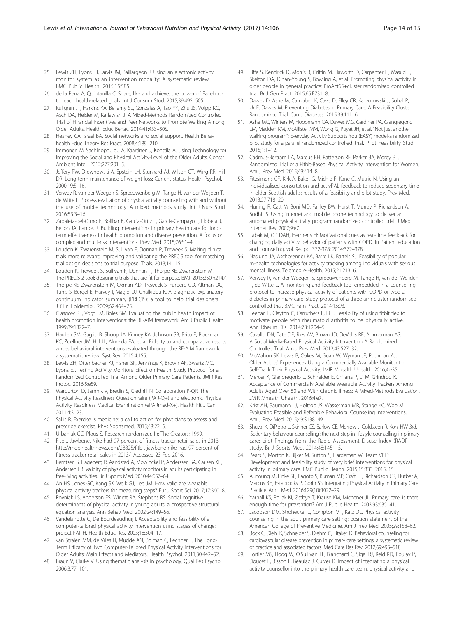- <span id="page-13-0"></span>25. Lewis ZH, Lyons EJ, Jarvis JM, Baillargeon J. Using an electronic activity monitor system as an intervention modality: A systematic review. BMC Public Health. 2015;15:585.
- 26. de la Pena A, Quintanilla C. Share, like and achieve: the power of Facebook to reach health-related goals. Int J Consum Stud. 2015;39:495–505.
- 27. Kullgren JT, Harkins KA, Bellamy SL, Gonzales A, Tao YY, Zhu JS, Volpp KG, Asch DA, Heisler M, Karlawish J. A Mixed-Methods Randomized Controlled Trial of Financial Incentives and Peer Networks to Promote Walking Among Older Adults. Health Educ Behav. 2014;41:43S–50S.
- 28. Heaney CA, Israel BA. Social networks and social support. Health Behav health Educ Theory Res Pract. 2008;4:189–210.
- 29. Immonen M, Sachinopoulou A, Kaartinen J, Konttila A. Using Technology for Improving the Social and Physical Activity-Level of the Older Adults. Constr Ambient Intell. 2012;277:201–5.
- 30. Jeffery RW, Drewnowski A, Epstein LH, Stunkard AJ, Wilson GT, Wing RR, Hill DR. Long-term maintenance of weight loss: Current status. Health Psychol. 2000;19:5–16.
- 31. Verwey R, van der Weegen S, Spreeuwenberg M, Tange H, van der Weijden T, de Witte L. Process evaluation of physical activity counselling with and without the use of mobile technology: A mixed methods study. Int J Nurs Stud. 2016;53:3–16.
- 32. Zabaleta-del-Olmo E, Bolibar B, Garcia-Ortiz L, Garcia-Campayo J, Llobera J, Bellon JA, Ramos R. Building interventions in primary health care for longterm effectiveness in health promotion and disease prevention. A focus on complex and multi-risk interventions. Prev Med. 2015;76:S1–4.
- 33. Loudon K, Zwarenstein M, Sullivan F, Donnan P, Treweek S. Making clinical trials more relevant: improving and validating the PRECIS tool for matching trial design decisions to trial purpose. Trials. 2013;14:115.
- 34. Loudon K, Treweek S, Sullivan F, Donnan P, Thorpe KE, Zwarenstein M. The PRECIS-2 tool: designing trials that are fit for purpose. BMJ. 2015;350:h2147.
- 35. Thorpe KE, Zwarenstein M, Oxman AD, Treweek S, Furberg CD, Altman DG, Tunis S, Bergel E, Harvey I, Magid DJ, Chalkidou K. A pragmatic-explanatory continuum indicator summary (PRECIS): a tool to help trial designers. J Clin Epidemiol. 2009;62:464–75.
- 36. Glasgow RE, Vogt TM, Boles SM. Evaluating the public health impact of health promotion interventions: the RE-AIM framework. Am J Public Health. 1999;89:1322–7.
- 37. Harden SM, Gaglio B, Shoup JA, Kinney KA, Johnson SB, Brito F, Blackman KC, Zoellner JM, Hill JL, Almeida FA, et al. Fidelity to and comparative results across behavioral interventions evaluated through the RE-AIM framework: a systematic review. Syst Rev. 2015;4:155.
- 38. Lewis ZH, Ottenbacher KJ, Fisher SR, Jennings K, Brown AF, Swartz MC, Lyons EJ. Testing Activity Monitors' Effect on Health: Study Protocol for a Randomized Controlled Trial Among Older Primary Care Patients. JMIR Res Protoc. 2016;5:e59.
- 39. Warburton D, Jamnik V, Bredin S, Gledhill N, Collaboration P-QR. The Physical Activity Readiness Questionnaire (PAR-Q+) and electronic Physical Activity Readiness Medical Examination (ePARmed-X+). Health Fit J Can. 2011;4:3–23.
- 40. Sallis R. Exercise is medicine: a call to action for physicians to assess and prescribe exercise. Phys Sportsmed. 2015;43:22–6.
- 41. Urbaniak GC, Plous S. Research randomizer. In: The Creators; 1999.
- 42. Fitbit, Jawbone, Nike had 97 percent of fitness tracker retail sales in 2013. [http://mobihealthnews.com/28825/fitbit-jawbone-nike-had-97-percent-of](http://mobihealthnews.com/28825/fitbit-jawbone-nike-had-97-percent-of-fitness-tracker-retail-sales-in-2013/)[fitness-tracker-retail-sales-in-2013/](http://mobihealthnews.com/28825/fitbit-jawbone-nike-had-97-percent-of-fitness-tracker-retail-sales-in-2013/). Accessed 23 Feb 2016.
- 43. Berntsen S, Hageberg R, Aandstad A, Mowinckel P, Anderssen SA, Carlsen KH, Andersen LB. Validity of physical activity monitors in adults participating in free-living activities. Br J Sports Med. 2010;44:657–64.
- 44. An HS, Jones GC, Kang SK, Welk GJ, Lee JM. How valid are wearable physical activity trackers for measuring steps? Eur J Sport Sci. 2017;17:360–8.
- 45. Rovniak LS, Anderson ES, Winett RA, Stephens RS. Social cognitive determinants of physical activity in young adults: a prospective structural equation analysis. Ann Behav Med. 2002;24:149–56.
- 46. Vandelanotte C, De Bourdeaudhuij I. Acceptability and feasibility of a computer-tailored physical activity intervention using stages of change: project FAITH. Health Educ Res. 2003;18:304–17.
- 47. van Stralen MM, de Vries H, Mudde AN, Bolman C, Lechner L. The Long-Term Efficacy of Two Computer-Tailored Physical Activity Interventions for Older Adults: Main Effects and Mediators. Health Psychol. 2011;30:442–52.
- 48. Braun V, Clarke V. Using thematic analysis in psychology. Qual Res Psychol. 2006;3:77–101.
- 49. Iliffe S, Kendrick D, Morris R, Griffin M, Haworth D, Carpenter H, Masud T, Skelton DA, Dinan-Young S, Bowling A, et al. Promoting physical activity in older people in general practice: ProAct65+cluster randomised controlled trial. Br J Gen Pract. 2015;65:E731–8.
- 50. Dawes D, Ashe M, Campbell K, Cave D, Elley CR, Kaczorowski J, Sohal P, Ur E, Dawes M. Preventing Diabetes in Primary Care: A Feasibility Cluster Randomized Trial. Can J Diabetes. 2015;39:111–6.
- 51. Ashe MC, Winters M, Hoppmann CA, Dawes MG, Gardiner PA, Giangregorio LM, Madden KM, McAllister MM, Wong G, Puyat JH, et al. "Not just another walking program": Everyday Activity Supports You (EASY) model-a randomized pilot study for a parallel randomized controlled trial. Pilot Feasibility Stud. 2015;1:1–12.
- 52. Cadmus-Bertram LA, Marcus BH, Patterson RE, Parker BA, Morey BL. Randomized Trial of a Fitbit-Based Physical Activity Intervention for Women. Am J Prev Med. 2015;49:414–8.
- 53. Fitzsimons CF, Kirk A, Baker G, Michie F, Kane C, Mutrie N. Using an individualised consultation and activPAL feedback to reduce sedentary time in older Scottish adults: results of a feasibility and pilot study. Prev Med. 2013;57:718–20.
- 54. Hurling R, Catt M, Boni MD, Fairley BW, Hurst T, Murray P, Richardson A, Sodhi JS. Using internet and mobile phone technology to deliver an automated physical activity program: randomized controlled trial. J Med Internet Res. 2007;9:e7.
- 55. Tabak M, OP DAH, Hermens H: Motivational cues as real-time feedback for changing daily activity behavior of patients with COPD. In Patient education and counseling, vol. 94. pp. 372-378; 2014:372–378.
- 56. Naslund JA, Aschbrenner KA, Barre LK, Bartels SJ. Feasibility of popular m-health technologies for activity tracking among individuals with serious mental illness. Telemed e-Health. 2015;21:213–6.
- 57. Verwey R, van der Weegen S, Spreeuwenberg M, Tange H, van der Weijden T, de Witte L. A monitoring and feedback tool embedded in a counselling protocol to increase physical activity of patients with COPD or type 2 diabetes in primary care: study protocol of a three-arm cluster randomised controlled trial. BMC Fam Pract. 2014;15:93.
- 58. Feehan L, Clayton C, Carruthers E, Li L. Feasibility of using fitbit flex to motivate people with rheumatoid arthritis to be physically active. Ann Rheum Dis. 2014;73:1204–5.
- 59. Cavallo DN, Tate DF, Ries AV, Brown JD, DeVellis RF, Ammerman AS. A Social Media-Based Physical Activity Intervention A Randomized Controlled Trial. Am J Prev Med. 2012;43:527–32.
- 60. McMahon SK, Lewis B, Oakes M, Guan W, Wyman JF, Rothman AJ. Older Adults' Experiences Using a Commercially Available Monitor to Self-Track Their Physical Activity. JMIR Mhealth Uhealth. 2016;4:e35.
- 61. Mercer K, Giangregorio L, Schneider E, Chilana P, Li M, Grindrod K. Acceptance of Commercially Available Wearable Activity Trackers Among Adults Aged Over 50 and With Chronic Illness: A Mixed-Methods Evaluation. JMIR Mhealth Uhealth. 2016;4:e7.
- 62. Krist AH, Baumann LJ, Holtrop JS, Wasserman MR, Stange KC, Woo M. Evaluating Feasible and Referable Behavioral Counseling Interventions. Am J Prev Med. 2015;49:S138–49.
- 63. Shuval K, DiPietro L, Skinner CS, Barlow CE, Morrow J, Goldsteen R, Kohl HW 3rd. 'Sedentary behaviour counselling': the next step in lifestyle counselling in primary care; pilot findings from the Rapid Assessment Disuse Index (RADI) study. Br J Sports Med. 2014;48:1451–5.
- 64. Pears S, Morton K, Bijker M, Sutton S, Hardeman W. Team VBIP: Development and feasibility study of very brief interventions for physical activity in primary care. BMC Public Health. 2015;15:333. 2015, 15
- 65. AuYoung M, Linke SE, Pagoto S, Buman MP, Craft LL, Richardson CR, Hutber A, Marcus BH, Estabrooks P, Gorin SS: Integrating Physical Activity in Primary Care Practice. Am J Med. 2016;129(10):1022–29.
- 66. Yarnall KS, Pollak KI, Østbye T, Krause KM, Michener JL. Primary care: is there enough time for prevention? Am J Public Health. 2003;93:635–41.
- 67. Jacobson DM, Strohecker L, Compton MT, Katz DL. Physical activity counseling in the adult primary care setting: position statement of the American College of Preventive Medicine. Am J Prev Med. 2005;29:158–62.
- 68. Bock C, Diehl K, Schneider S, Diehm C, Litaker D. Behavioral counseling for cardiovascular disease prevention in primary care settings: a systematic review of practice and associated factors. Med Care Res Rev. 2012;69:495–518.
- 69. Fortier MS, Hogg W, O'Sullivan TL, Blanchard C, Sigal RJ, Reid RD, Boulay P, Doucet E, Bisson E, Beaulac J, Culver D. Impact of integrating a physical activity counsellor into the primary health care team: physical activity and